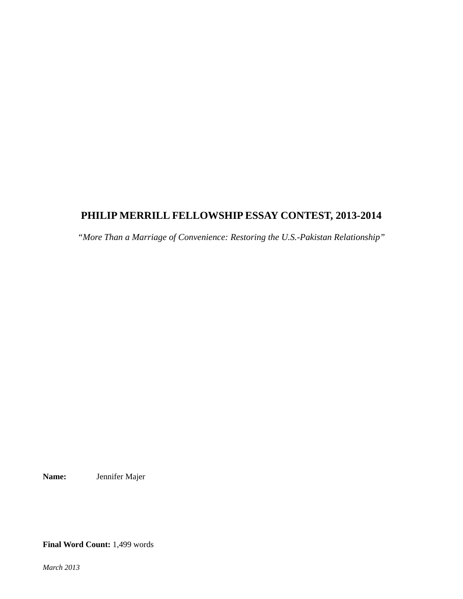## **PHILIP MERRILL FELLOWSHIP ESSAY CONTEST, 2013-2014**

*"More Than a Marriage of Convenience: Restoring the U.S.-Pakistan Relationship"*

**Name:** Jennifer Majer

**Final Word Count:** 1,499 words

*March 2013*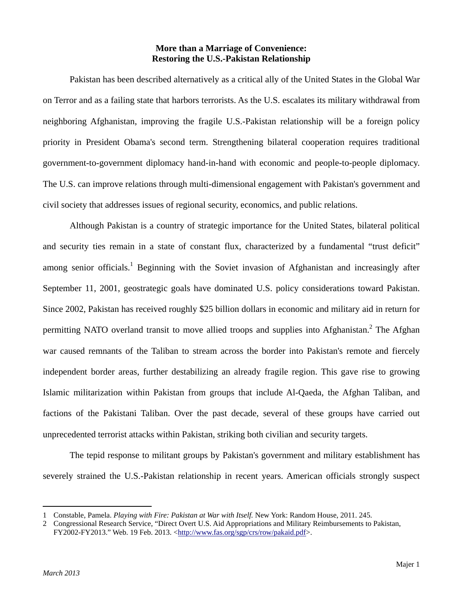## **More than a Marriage of Convenience: Restoring the U.S.-Pakistan Relationship**

 Pakistan has been described alternatively as a critical ally of the United States in the Global War on Terror and as a failing state that harbors terrorists. As the U.S. escalates its military withdrawal from neighboring Afghanistan, improving the fragile U.S.-Pakistan relationship will be a foreign policy priority in President Obama's second term. Strengthening bilateral cooperation requires traditional government-to-government diplomacy hand-in-hand with economic and people-to-people diplomacy. The U.S. can improve relations through multi-dimensional engagement with Pakistan's government and civil society that addresses issues of regional security, economics, and public relations.

 Although Pakistan is a country of strategic importance for the United States, bilateral political and security ties remain in a state of constant flux, characterized by a fundamental "trust deficit" among senior officials.<sup>1</sup> Beginning with the Soviet invasion of Afghanistan and increasingly after September 11, 2001, geostrategic goals have dominated U.S. policy considerations toward Pakistan. Since 2002, Pakistan has received roughly \$25 billion dollars in economic and military aid in return for permitting NATO overland transit to move allied troops and supplies into Afghanistan.<sup>2</sup> The Afghan war caused remnants of the Taliban to stream across the border into Pakistan's remote and fiercely independent border areas, further destabilizing an already fragile region. This gave rise to growing Islamic militarization within Pakistan from groups that include Al-Qaeda, the Afghan Taliban, and factions of the Pakistani Taliban. Over the past decade, several of these groups have carried out unprecedented terrorist attacks within Pakistan, striking both civilian and security targets.

 The tepid response to militant groups by Pakistan's government and military establishment has severely strained the U.S.-Pakistan relationship in recent years. American officials strongly suspect

<sup>1</sup> Constable, Pamela. *Playing with Fire: Pakistan at War with Itself.* New York: Random House, 2011. 245.

<sup>2</sup> Congressional Research Service, "Direct Overt U.S. Aid Appropriations and Military Reimbursements to Pakistan, FY2002-FY2013." Web. 19 Feb. 2013. <http://www.fas.org/sgp/crs/row/pakaid.pdf>.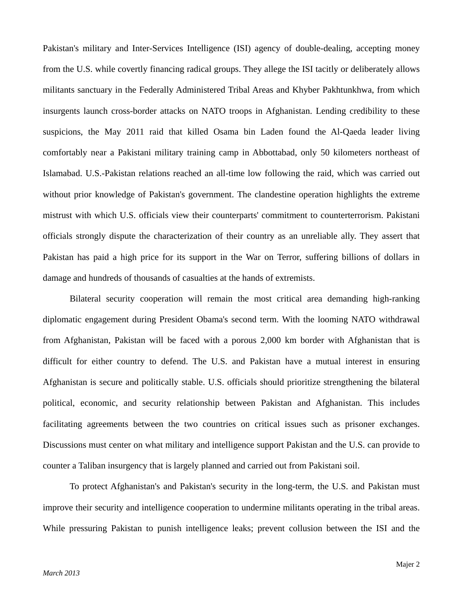Pakistan's military and Inter-Services Intelligence (ISI) agency of double-dealing, accepting money from the U.S. while covertly financing radical groups. They allege the ISI tacitly or deliberately allows militants sanctuary in the Federally Administered Tribal Areas and Khyber Pakhtunkhwa, from which insurgents launch cross-border attacks on NATO troops in Afghanistan. Lending credibility to these suspicions, the May 2011 raid that killed Osama bin Laden found the Al-Qaeda leader living comfortably near a Pakistani military training camp in Abbottabad, only 50 kilometers northeast of Islamabad. U.S.-Pakistan relations reached an all-time low following the raid, which was carried out without prior knowledge of Pakistan's government. The clandestine operation highlights the extreme mistrust with which U.S. officials view their counterparts' commitment to counterterrorism. Pakistani officials strongly dispute the characterization of their country as an unreliable ally. They assert that Pakistan has paid a high price for its support in the War on Terror, suffering billions of dollars in damage and hundreds of thousands of casualties at the hands of extremists.

 Bilateral security cooperation will remain the most critical area demanding high-ranking diplomatic engagement during President Obama's second term. With the looming NATO withdrawal from Afghanistan, Pakistan will be faced with a porous 2,000 km border with Afghanistan that is difficult for either country to defend. The U.S. and Pakistan have a mutual interest in ensuring Afghanistan is secure and politically stable. U.S. officials should prioritize strengthening the bilateral political, economic, and security relationship between Pakistan and Afghanistan. This includes facilitating agreements between the two countries on critical issues such as prisoner exchanges. Discussions must center on what military and intelligence support Pakistan and the U.S. can provide to counter a Taliban insurgency that is largely planned and carried out from Pakistani soil.

 To protect Afghanistan's and Pakistan's security in the long-term, the U.S. and Pakistan must improve their security and intelligence cooperation to undermine militants operating in the tribal areas. While pressuring Pakistan to punish intelligence leaks; prevent collusion between the ISI and the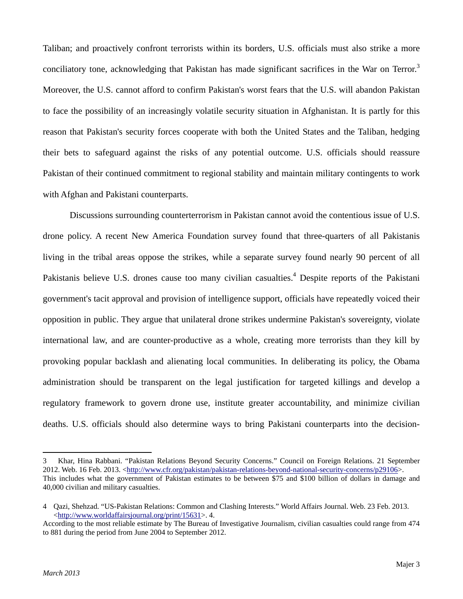Taliban; and proactively confront terrorists within its borders, U.S. officials must also strike a more conciliatory tone, acknowledging that Pakistan has made significant sacrifices in the War on Terror.<sup>3</sup> Moreover, the U.S. cannot afford to confirm Pakistan's worst fears that the U.S. will abandon Pakistan to face the possibility of an increasingly volatile security situation in Afghanistan. It is partly for this reason that Pakistan's security forces cooperate with both the United States and the Taliban, hedging their bets to safeguard against the risks of any potential outcome. U.S. officials should reassure Pakistan of their continued commitment to regional stability and maintain military contingents to work with Afghan and Pakistani counterparts.

 Discussions surrounding counterterrorism in Pakistan cannot avoid the contentious issue of U.S. drone policy. A recent New America Foundation survey found that three-quarters of all Pakistanis living in the tribal areas oppose the strikes, while a separate survey found nearly 90 percent of all Pakistanis believe U.S. drones cause too many civilian casualties.<sup>4</sup> Despite reports of the Pakistani government's tacit approval and provision of intelligence support, officials have repeatedly voiced their opposition in public. They argue that unilateral drone strikes undermine Pakistan's sovereignty, violate international law, and are counter-productive as a whole, creating more terrorists than they kill by provoking popular backlash and alienating local communities. In deliberating its policy, the Obama administration should be transparent on the legal justification for targeted killings and develop a regulatory framework to govern drone use, institute greater accountability, and minimize civilian deaths. U.S. officials should also determine ways to bring Pakistani counterparts into the decision-

<sup>3</sup> Khar, Hina Rabbani. "Pakistan Relations Beyond Security Concerns." Council on Foreign Relations. 21 September 2012. Web. 16 Feb. 2013. <http://www.cfr.org/pakistan/pakistan-relations-beyond-national-security-concerns/p29106>. This includes what the government of Pakistan estimates to be between \$75 and \$100 billion of dollars in damage and 40,000 civilian and military casualties.

<sup>4</sup> Qazi, Shehzad. "US-Pakistan Relations: Common and Clashing Interests." World Affairs Journal. Web. 23 Feb. 2013. <http://www.worldaffairsjournal.org/print/15631>. 4.

According to the most reliable estimate by The Bureau of Investigative Journalism, civilian casualties could range from 474 to 881 during the period from June 2004 to September 2012.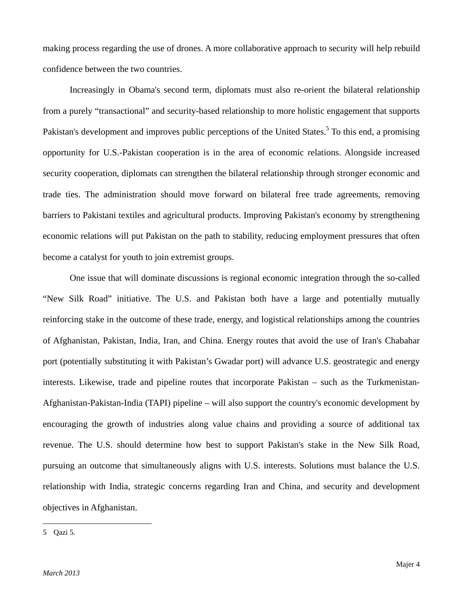making process regarding the use of drones. A more collaborative approach to security will help rebuild confidence between the two countries.

 Increasingly in Obama's second term, diplomats must also re-orient the bilateral relationship from a purely "transactional" and security-based relationship to more holistic engagement that supports Pakistan's development and improves public perceptions of the United States.<sup>5</sup> To this end, a promising opportunity for U.S.-Pakistan cooperation is in the area of economic relations. Alongside increased security cooperation, diplomats can strengthen the bilateral relationship through stronger economic and trade ties. The administration should move forward on bilateral free trade agreements, removing barriers to Pakistani textiles and agricultural products. Improving Pakistan's economy by strengthening economic relations will put Pakistan on the path to stability, reducing employment pressures that often become a catalyst for youth to join extremist groups.

 One issue that will dominate discussions is regional economic integration through the so-called "New Silk Road" initiative. The U.S. and Pakistan both have a large and potentially mutually reinforcing stake in the outcome of these trade, energy, and logistical relationships among the countries of Afghanistan, Pakistan, India, Iran, and China. Energy routes that avoid the use of Iran's Chabahar port (potentially substituting it with Pakistan's Gwadar port) will advance U.S. geostrategic and energy interests. Likewise, trade and pipeline routes that incorporate Pakistan – such as the Turkmenistan-Afghanistan-Pakistan-India (TAPI) pipeline – will also support the country's economic development by encouraging the growth of industries along value chains and providing a source of additional tax revenue. The U.S. should determine how best to support Pakistan's stake in the New Silk Road, pursuing an outcome that simultaneously aligns with U.S. interests. Solutions must balance the U.S. relationship with India, strategic concerns regarding Iran and China, and security and development objectives in Afghanistan.

<sup>5</sup> Qazi 5.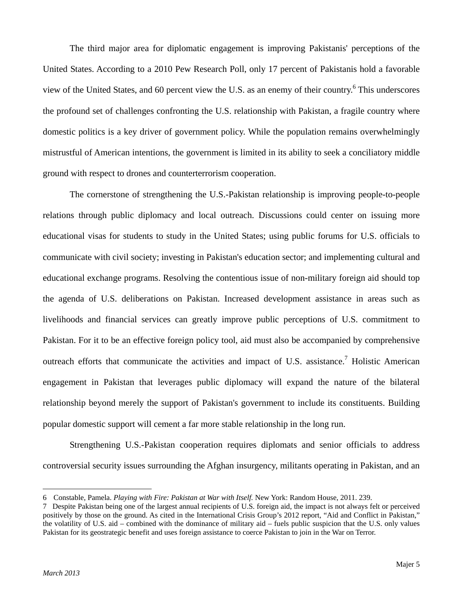The third major area for diplomatic engagement is improving Pakistanis' perceptions of the United States. According to a 2010 Pew Research Poll, only 17 percent of Pakistanis hold a favorable view of the United States, and 60 percent view the U.S. as an enemy of their country.<sup>6</sup> This underscores the profound set of challenges confronting the U.S. relationship with Pakistan, a fragile country where domestic politics is a key driver of government policy. While the population remains overwhelmingly mistrustful of American intentions, the government is limited in its ability to seek a conciliatory middle ground with respect to drones and counterterrorism cooperation.

 The cornerstone of strengthening the U.S.-Pakistan relationship is improving people-to-people relations through public diplomacy and local outreach. Discussions could center on issuing more educational visas for students to study in the United States; using public forums for U.S. officials to communicate with civil society; investing in Pakistan's education sector; and implementing cultural and educational exchange programs. Resolving the contentious issue of non-military foreign aid should top the agenda of U.S. deliberations on Pakistan. Increased development assistance in areas such as livelihoods and financial services can greatly improve public perceptions of U.S. commitment to Pakistan. For it to be an effective foreign policy tool, aid must also be accompanied by comprehensive outreach efforts that communicate the activities and impact of U.S. assistance.<sup>7</sup> Holistic American engagement in Pakistan that leverages public diplomacy will expand the nature of the bilateral relationship beyond merely the support of Pakistan's government to include its constituents. Building popular domestic support will cement a far more stable relationship in the long run.

 Strengthening U.S.-Pakistan cooperation requires diplomats and senior officials to address controversial security issues surrounding the Afghan insurgency, militants operating in Pakistan, and an

<sup>6</sup> Constable, Pamela. *Playing with Fire: Pakistan at War with Itself.* New York: Random House, 2011. 239.

<sup>7</sup> Despite Pakistan being one of the largest annual recipients of U.S. foreign aid, the impact is not always felt or perceived positively by those on the ground. As cited in the International Crisis Group's 2012 report, "Aid and Conflict in Pakistan," the volatility of U.S. aid – combined with the dominance of military aid – fuels public suspicion that the U.S. only values Pakistan for its geostrategic benefit and uses foreign assistance to coerce Pakistan to join in the War on Terror.